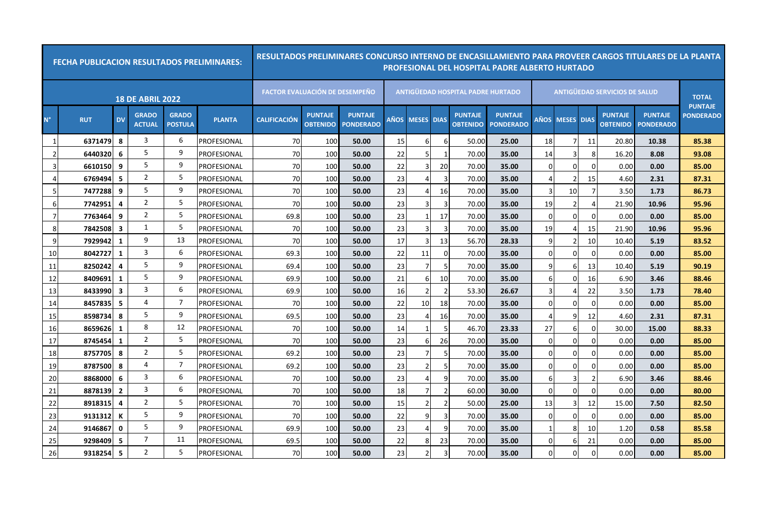|                | <b>FECHA PUBLICACION RESULTADOS PRELIMINARES:</b> |                |                               |                                |               | RESULTADOS PRELIMINARES CONCURSO INTERNO DE ENCASILLAMIENTO PARA PROVEER CARGOS TITULARES DE LA PLANTA |                                   |                                    |             |                   |                |                                          | <b>PROFESIONAL DEL HOSPITAL PADRE ALBERTO HURTADO</b> |                       |                   |          |                                      |                                    |                                |
|----------------|---------------------------------------------------|----------------|-------------------------------|--------------------------------|---------------|--------------------------------------------------------------------------------------------------------|-----------------------------------|------------------------------------|-------------|-------------------|----------------|------------------------------------------|-------------------------------------------------------|-----------------------|-------------------|----------|--------------------------------------|------------------------------------|--------------------------------|
|                |                                                   |                | <b>18 DE ABRIL 2022</b>       |                                |               | <b>FACTOR EVALUACIÓN DE DESEMPEÑO</b>                                                                  |                                   |                                    |             |                   |                | <b>ANTIGUEDAD HOSPITAL PADRE HURTADO</b> |                                                       |                       |                   |          | <b>ANTIGUEDAD SERVICIOS DE SALUD</b> |                                    | <b>TOTAL</b><br><b>PUNTAJE</b> |
| $N^{\circ}$    | <b>RUT</b>                                        | <b>DV</b>      | <b>GRADO</b><br><b>ACTUAL</b> | <b>GRADO</b><br><b>POSTULA</b> | <b>PLANTA</b> | <b>CALIFICACION</b>                                                                                    | <b>PUNTAJE</b><br><b>OBTENIDO</b> | <b>PUNTAJE</b><br><b>PONDERADO</b> | <b>AÑOS</b> | <b>MESES DIAS</b> |                | <b>PUNTAJE</b><br><b>OBTENIDO</b>        | <b>PUNTAJE</b><br><b>PONDERADO</b>                    | <b>AÑOS</b>           | <b>MESES DIAS</b> |          | <b>PUNTAJE</b><br><b>OBTENIDO</b>    | <b>PUNTAJE</b><br><b>PONDERADO</b> | <b>PONDERADO</b>               |
| 1              | 6371479                                           | 8              | 3                             | 6                              | PROFESIONAL   | 70                                                                                                     | 100                               | 50.00                              | 15          | 6                 | -6             | 50.00                                    | 25.00                                                 | 18                    | 7                 | -11      | 20.80                                | 10.38                              | 85.38                          |
| $\overline{2}$ | 6440320                                           | 6              | 5                             | 9                              | PROFESIONAL   | 70                                                                                                     | 100                               | 50.00                              | 22          | 5                 | -1             | 70.00                                    | 35.00                                                 | 14                    |                   | 8        | 16.20                                | 8.08                               | 93.08                          |
| 3              | 6610150                                           | 9              | 5                             | 9                              | PROFESIONAL   | 70                                                                                                     | 100                               | 50.00                              | 22          | 3                 | 20             | 70.00                                    | 35.00                                                 | $\Omega$              | $\Omega$          | n        | 0.00                                 | 0.00                               | 85.00                          |
| 4              | 6769494                                           | -5             | $\overline{2}$                | 5                              | PROFESIONAL   | 70                                                                                                     | 100                               | 50.00                              | 23          | 4                 | 3              | 70.00                                    | 35.00                                                 | $\boldsymbol{\Delta}$ |                   | 15       | 4.60                                 | 2.31                               | 87.31                          |
| -5             | 7477288                                           | 9              | 5                             | 9                              | PROFESIONAL   | 70                                                                                                     | 100                               | 50.00                              | 23          | 4                 | 16             | 70.00                                    | 35.00                                                 | 3                     | 10                |          | 3.50                                 | 1.73                               | 86.73                          |
| 6              | 7742951                                           | 4              | $\overline{2}$                | 5                              | PROFESIONAL   | 70                                                                                                     | 100                               | 50.00                              | 23          | 3                 | 3              | 70.00                                    | 35.00                                                 | 19                    | 2                 |          | 21.90                                | 10.96                              | 95.96                          |
| 7              | 7763464                                           | 9              | 2                             | 5                              | PROFESIONAL   | 69.8                                                                                                   | 100                               | 50.00                              | 23          | 1                 | 17             | 70.00                                    | 35.00                                                 | $\Omega$              | $\Omega$          | O        | 0.00                                 | 0.00                               | 85.00                          |
| 8              | 7842508                                           | 3              | 1                             | 5                              | PROFESIONAL   | 70                                                                                                     | 100                               | 50.00                              | 23          | $\overline{3}$    | 3              | 70.00                                    | 35.00                                                 | 19                    | $\overline{4}$    | 15       | 21.90                                | 10.96                              | 95.96                          |
| q              | 7929942                                           | 1              | 9                             | 13                             | PROFESIONAL   | 70                                                                                                     | 100                               | 50.00                              | 17          | 3                 | 13             | 56.70                                    | 28.33                                                 | q                     |                   | 10       | 10.40                                | 5.19                               | 83.52                          |
| 10             | 8042727                                           | 1              | 3                             | 6                              | PROFESIONAL   | 69.3                                                                                                   | 100                               | 50.00                              | 22          | 11                | $\Omega$       | 70.00                                    | 35.00                                                 | $\Omega$              | 0                 |          | 0.00                                 | 0.00                               | 85.00                          |
| 11             | 8250242                                           | 4              | 5                             | 9                              | PROFESIONAL   | 69.4                                                                                                   | 100                               | 50.00                              | 23          | $\overline{7}$    | 5              | 70.00                                    | 35.00                                                 | q                     | $6 \mid$          | 13       | 10.40                                | 5.19                               | 90.19                          |
| 12             | 8409691                                           | 1              | 5                             | 9                              | PROFESIONAL   | 69.9                                                                                                   | 100                               | 50.00                              | 21          | 6                 | 10             | 70.00                                    | 35.00                                                 | 6                     | $\Omega$          | 16       | 6.90                                 | 3.46                               | 88.46                          |
| 13             | 8433990                                           | 3              | 3                             | 6                              | PROFESIONAL   | 69.9                                                                                                   | 100                               | 50.00                              | 16          | $\overline{2}$    | $\overline{2}$ | 53.30                                    | 26.67                                                 | 3                     |                   | 22       | 3.50                                 | 1.73                               | 78.40                          |
| 14             | 8457835                                           | 5              | 4                             | $\overline{7}$                 | PROFESIONAL   | 70                                                                                                     | 100                               | 50.00                              | 22          | 10                | 18             | 70.00                                    | 35.00                                                 | $\Omega$              | 0                 | $\Omega$ | 0.00                                 | 0.00                               | 85.00                          |
| 15             | 8598734                                           | 8              | 5                             | 9                              | PROFESIONAL   | 69.5                                                                                                   | 100                               | 50.00                              | 23          | 4                 | 16             | 70.00                                    | 35.00                                                 | $\Delta$              | $\overline{9}$    | 12       | 4.60                                 | 2.31                               | 87.31                          |
| 16             | 8659626                                           | 1              | 8                             | 12                             | PROFESIONAL   | 70                                                                                                     | 100                               | 50.00                              | 14          |                   | 5              | 46.70                                    | 23.33                                                 | 27                    | 6                 | O        | 30.00                                | 15.00                              | 88.33                          |
| 17             | 8745454                                           | $\mathbf{1}$   | $\overline{2}$                | 5                              | PROFESIONAL   | 70                                                                                                     | 100                               | 50.00                              | 23          | 6                 | 26             | 70.00                                    | 35.00                                                 | $\Omega$              | $\Omega$          |          | 0.00                                 | 0.00                               | 85.00                          |
| 18             | 8757705                                           | 8              | 2                             | 5                              | PROFESIONAL   | 69.2                                                                                                   | 100                               | 50.00                              | 23          | $\overline{7}$    | 5              | 70.00                                    | 35.00                                                 | $\Omega$              | $\Omega$          | 0        | 0.00                                 | 0.00                               | 85.00                          |
| 19             | 8787500                                           | 8              | 4                             | $\overline{7}$                 | PROFESIONAL   | 69.2                                                                                                   | 100                               | 50.00                              | 23          | $\overline{2}$    | 5              | 70.00                                    | 35.00                                                 | $\Omega$              | $\Omega$          |          | 0.00                                 | 0.00                               | 85.00                          |
| 20             | 8868000                                           | 6              | 3                             | 6                              | PROFESIONAL   | 70                                                                                                     | 100                               | 50.00                              | 23          | $\overline{4}$    | q              | 70.00                                    | 35.00                                                 | 6                     |                   |          | 6.90                                 | 3.46                               | 88.46                          |
| 21             | 8878139                                           | $\overline{2}$ | 3                             | 6                              | PROFESIONAL   | 70                                                                                                     | 100                               | 50.00                              | 18          | $\overline{7}$    | $\overline{2}$ | 60.00                                    | 30.00                                                 | $\Omega$              | $\overline{0}$    |          | 0.00                                 | 0.00                               | 80.00                          |
| 22             | 8918315                                           | $\overline{4}$ | 2                             | 5                              | PROFESIONAL   | 70                                                                                                     | 100                               | 50.00                              | 15          | $\overline{2}$    | $\overline{2}$ | 50.00                                    | 25.00                                                 | 13                    | 3                 | 12       | 15.00                                | 7.50                               | 82.50                          |
| 23             | 9131312                                           | к              | 5                             | 9                              | PROFESIONAL   | 70                                                                                                     | 100                               | 50.00                              | 22          | $\overline{9}$    | 3              | 70.00                                    | 35.00                                                 | $\Omega$              | $\Omega$          | O        | 0.00                                 | 0.00                               | 85.00                          |
| 24             | 9146867                                           | $\mathbf{0}$   | 5                             | 9                              | PROFESIONAL   | 69.9                                                                                                   | 100                               | 50.00                              | 23          | $\Delta$          | q              | 70.00                                    | 35.00                                                 |                       |                   | 10       | 1.20                                 | 0.58                               | 85.58                          |
| 25             | 9298409                                           | 5              | $\overline{7}$                | 11                             | PROFESIONAL   | 69.5                                                                                                   | 100                               | 50.00                              | 22          | 8                 | 23             | 70.00                                    | 35.00                                                 | $\Omega$              | 6                 | 21       | 0.00                                 | 0.00                               | 85.00                          |
| 26             | 9318254                                           | -5             | $\overline{2}$                | 5                              | PROFESIONAL   | 70                                                                                                     | 100                               | 50.00                              | 23          | $\mathfrak{p}$    | 3              | 70.00                                    | 35.00                                                 | $\Omega$              |                   |          | 0.00                                 | 0.00                               | 85.00                          |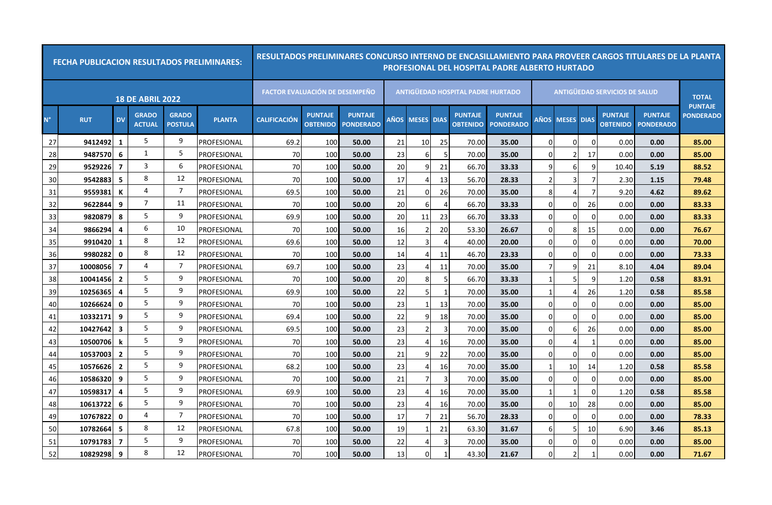|             | <b>FECHA PUBLICACION RESULTADOS PRELIMINARES:</b> |                         |                               |                                |               | RESULTADOS PRELIMINARES CONCURSO INTERNO DE ENCASILLAMIENTO PARA PROVEER CARGOS TITULARES DE LA PLANTA |                                   |                                    |    |                 |                          |                                          | PROFESIONAL DEL HOSPITAL PADRE ALBERTO HURTADO |               |                   |          |                                      |                                    |                                |
|-------------|---------------------------------------------------|-------------------------|-------------------------------|--------------------------------|---------------|--------------------------------------------------------------------------------------------------------|-----------------------------------|------------------------------------|----|-----------------|--------------------------|------------------------------------------|------------------------------------------------|---------------|-------------------|----------|--------------------------------------|------------------------------------|--------------------------------|
|             |                                                   |                         | <b>18 DE ABRIL 2022</b>       |                                |               | <b>FACTOR EVALUACIÓN DE DESEMPEÑO</b>                                                                  |                                   |                                    |    |                 |                          | <b>ANTIGUEDAD HOSPITAL PADRE HURTADO</b> |                                                |               |                   |          | <b>ANTIGUEDAD SERVICIOS DE SALUD</b> |                                    | <b>TOTAL</b><br><b>PUNTAJE</b> |
| $N^{\circ}$ | <b>RUT</b>                                        | <b>DV</b>               | <b>GRADO</b><br><b>ACTUAL</b> | <b>GRADO</b><br><b>POSTULA</b> | <b>PLANTA</b> | <b>CALIFICACIÓN</b>                                                                                    | <b>PUNTAJE</b><br><b>OBTENIDO</b> | <b>PUNTAJE</b><br><b>PONDERADO</b> |    | AÑOS MESES DIAS |                          | <b>PUNTAJE</b><br><b>OBTENIDO</b>        | <b>PUNTAJE</b><br><b>PONDERADO</b>             | AÑOS          | <b>MESES DIAS</b> |          | <b>PUNTAJE</b><br><b>OBTENIDO</b>    | <b>PUNTAJE</b><br><b>PONDERADO</b> | <b>PONDERADO</b>               |
| 27          | 9412492                                           | 1                       | 5                             | 9                              | PROFESIONAL   | 69.2                                                                                                   | 100                               | 50.00                              | 21 | 10              | 25                       | 70.00                                    | 35.00                                          | $\Omega$      | 0                 | O        | 0.00                                 | 0.00                               | 85.00                          |
| 28          | 9487570                                           | 6                       | 1                             | 5                              | PROFESIONAL   | 70                                                                                                     | 100                               | 50.00                              | 23 | $6 \mid$        | -5                       | 70.00                                    | 35.00                                          | O             |                   | 17       | 0.00                                 | 0.00                               | 85.00                          |
| 29          | 9529226                                           | $\overline{7}$          | 3                             | 6                              | PROFESIONAL   | 70                                                                                                     | 100                               | 50.00                              | 20 | 9               | 21                       | 66.70                                    | 33.33                                          | q             | 6                 | 9        | 10.40                                | 5.19                               | 88.52                          |
| 30          | 9542883                                           | 5                       | 8                             | 12                             | PROFESIONAL   | 70                                                                                                     | 100                               | 50.00                              | 17 | $\overline{a}$  | 13                       | 56.70                                    | 28.33                                          | $\mathcal{P}$ | 3                 |          | 2.30                                 | 1.15                               | 79.48                          |
| 31          | 9559381                                           | К                       | 4                             | 7                              | PROFESIONAL   | 69.5                                                                                                   | 100                               | 50.00                              | 21 | 0               | 26                       | 70.00                                    | 35.00                                          | 8             |                   |          | 9.20                                 | 4.62                               | 89.62                          |
| 32          | 9622844                                           | 9                       | 7                             | 11                             | PROFESIONAL   | 70                                                                                                     | 100                               | 50.00                              | 20 | 6               | 4                        | 66.70                                    | 33.33                                          | n             | $\Omega$          | 26       | 0.00                                 | 0.00                               | 83.33                          |
| 33          | 9820879                                           | 8                       | 5                             | 9                              | PROFESIONAL   | 69.9                                                                                                   | 100                               | 50.00                              | 20 | 11              | 23                       | 66.70                                    | 33.33                                          | $\Omega$      | $\Omega$          | O        | 0.00                                 | 0.00                               | 83.33                          |
| 34          | 9866294                                           | 4                       | 6                             | 10                             | PROFESIONAL   | 70                                                                                                     | 100                               | 50.00                              | 16 | $\overline{2}$  | 20                       | 53.30                                    | 26.67                                          | n             | 8 <sup>1</sup>    | 15       | 0.00                                 | 0.00                               | 76.67                          |
| 35          | 9910420                                           | 1                       | 8                             | 12                             | PROFESIONAL   | 69.6                                                                                                   | 100                               | 50.00                              | 12 | 3               | $\boldsymbol{\varDelta}$ | 40.00                                    | 20.00                                          | n             |                   |          | 0.00                                 | 0.00                               | 70.00                          |
| 36          | 9980282                                           | 0                       | 8                             | 12                             | PROFESIONAL   | 70                                                                                                     | 10 <sub>C</sub>                   | 50.00                              | 14 | 4               | 11                       | 46.70                                    | 23.33                                          | n             | 0                 |          | 0.00                                 | 0.00                               | 73.33                          |
| 37          | 10008056                                          | $\overline{7}$          | 4                             | 7                              | PROFESIONAL   | 69.7                                                                                                   | 100                               | 50.00                              | 23 | 4               | 11                       | 70.00                                    | 35.00                                          |               | 9                 | 21       | 8.10                                 | 4.04                               | 89.04                          |
| 38          | 10041456                                          | $\overline{2}$          | 5                             | 9                              | PROFESIONAL   | 70                                                                                                     | 100                               | 50.00                              | 20 | 8               | 5                        | 66.70                                    | 33.33                                          |               |                   | q        | 1.20                                 | 0.58                               | 83.91                          |
| 39          | 10256365                                          | 4                       | 5                             | 9                              | PROFESIONAL   | 69.9                                                                                                   | 100                               | 50.00                              | 22 | 5               | $\mathbf{1}$             | 70.00                                    | 35.00                                          | -1            |                   | 26       | 1.20                                 | 0.58                               | 85.58                          |
| 40          | 10266624                                          | $\mathbf{0}$            | 5                             | 9                              | PROFESIONAL   | 70                                                                                                     | 100                               | 50.00                              | 23 | -1              | 13                       | 70.00                                    | 35.00                                          | $\Omega$      | 0                 | 0        | 0.00                                 | 0.00                               | 85.00                          |
| 41          | 10332171                                          | 9                       | 5                             | 9                              | PROFESIONAL   | 69.4                                                                                                   | 100                               | 50.00                              | 22 | 9               | 18                       | 70.00                                    | 35.00                                          | $\Omega$      | $\Omega$          | O        | 0.00                                 | 0.00                               | 85.00                          |
| 42          | 10427642                                          | $\overline{\mathbf{3}}$ | 5                             | 9                              | PROFESIONAL   | 69.5                                                                                                   | 100                               | 50.00                              | 23 | $\overline{2}$  | -3                       | 70.00                                    | 35.00                                          | $\Omega$      | 6                 | 26       | 0.00                                 | 0.00                               | 85.00                          |
| 43          | 10500706                                          |                         | 5                             | 9                              | PROFESIONAL   | 70                                                                                                     | 100                               | 50.00                              | 23 | 4               | 16                       | 70.00                                    | 35.00                                          | $\Omega$      |                   |          | 0.00                                 | 0.00                               | 85.00                          |
| 44          | 10537003                                          | $\overline{2}$          | 5                             | 9                              | PROFESIONAL   | 70                                                                                                     | 100                               | 50.00                              | 21 | q               | 22                       | 70.00                                    | 35.00                                          | $\Omega$      | $\Omega$          | O        | 0.00                                 | 0.00                               | 85.00                          |
| 45          | 10576626                                          | $\overline{2}$          | 5                             | 9                              | PROFESIONAL   | 68.2                                                                                                   | 100                               | 50.00                              | 23 | $\Delta$        | 16                       | 70.00                                    | 35.00                                          | -1            | 10                | 14       | 1.20                                 | 0.58                               | 85.58                          |
| 46          | 10586320                                          | 9                       | 5                             | 9                              | PROFESIONAL   | 70                                                                                                     | 100                               | 50.00                              | 21 | 7               | -3                       | 70.00                                    | 35.00                                          | $\Omega$      | $\Omega$          | U        | 0.00                                 | 0.00                               | 85.00                          |
| 47          | 10598317                                          | 4                       | 5                             | 9                              | PROFESIONAL   | 69.9                                                                                                   | 100                               | 50.00                              | 23 | $\overline{a}$  | 16                       | 70.00                                    | 35.00                                          |               |                   |          | 1.20                                 | 0.58                               | 85.58                          |
| 48          | 10613722                                          | 6                       | 5                             | 9                              | PROFESIONAL   | 70                                                                                                     | 100                               | 50.00                              | 23 | 4               | 16                       | 70.00                                    | 35.00                                          | $\Omega$      | 10                | 28       | 0.00                                 | 0.00                               | 85.00                          |
| 49          | 10767822                                          | $\mathbf{0}$            | 4                             | 7                              | PROFESIONAL   | 70                                                                                                     | 100                               | 50.00                              | 17 | 7               | 21                       | 56.70                                    | 28.33                                          | $\Omega$      | $\Omega$          | $\Omega$ | 0.00                                 | 0.00                               | 78.33                          |
| 50          | 10782664                                          | 5                       | 8                             | 12                             | PROFESIONAL   | 67.8                                                                                                   | 100                               | 50.00                              | 19 |                 | 21                       | 63.30                                    | 31.67                                          | 6             |                   | 10       | 6.90                                 | 3.46                               | 85.13                          |
| 51          | 10791783                                          | $\overline{\mathbf{z}}$ | 5                             | 9                              | PROFESIONAL   | 70                                                                                                     | 100                               | 50.00                              | 22 | 4               | 3                        | 70.00                                    | 35.00                                          | n             | 0                 |          | 0.00                                 | 0.00                               | 85.00                          |
| 52          | 10829298                                          | 9                       | 8                             | 12                             | PROFESIONAL   | 70                                                                                                     | 100                               | 50.00                              | 13 | $\Omega$        | $\mathbf{1}$             | 43.30                                    | 21.67                                          | n             |                   |          | 0.00                                 | 0.00                               | 71.67                          |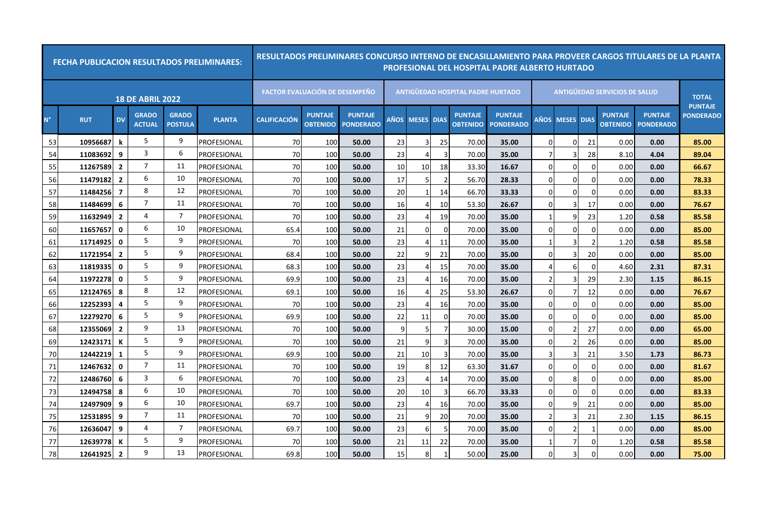|             | <b>FECHA PUBLICACION RESULTADOS PRELIMINARES:</b> |                |                               |                                |               | RESULTADOS PRELIMINARES CONCURSO INTERNO DE ENCASILLAMIENTO PARA PROVEER CARGOS TITULARES DE LA PLANTA |                                   |                                    |              |                 |                |                                          | PROFESIONAL DEL HOSPITAL PADRE ALBERTO HURTADO |                |                   |          |                                      |                                    |                                |
|-------------|---------------------------------------------------|----------------|-------------------------------|--------------------------------|---------------|--------------------------------------------------------------------------------------------------------|-----------------------------------|------------------------------------|--------------|-----------------|----------------|------------------------------------------|------------------------------------------------|----------------|-------------------|----------|--------------------------------------|------------------------------------|--------------------------------|
|             |                                                   |                | <b>18 DE ABRIL 2022</b>       |                                |               | <b>FACTOR EVALUACIÓN DE DESEMPEÑO</b>                                                                  |                                   |                                    |              |                 |                | <b>ANTIGUEDAD HOSPITAL PADRE HURTADO</b> |                                                |                |                   |          | <b>ANTIGUEDAD SERVICIOS DE SALUD</b> |                                    | <b>TOTAL</b><br><b>PUNTAJE</b> |
| $N^{\circ}$ | <b>RUT</b>                                        | <b>DV</b>      | <b>GRADO</b><br><b>ACTUAL</b> | <b>GRADO</b><br><b>POSTULA</b> | <b>PLANTA</b> | <b>CALIFICACIÓN</b>                                                                                    | <b>PUNTAJE</b><br><b>OBTENIDO</b> | <b>PUNTAJE</b><br><b>PONDERADO</b> |              | AÑOS MESES DIAS |                | <b>PUNTAJE</b><br><b>OBTENIDO</b>        | <b>PUNTAJE</b><br><b>PONDERADO</b>             | AÑOS           | <b>MESES DIAS</b> |          | <b>PUNTAJE</b><br><b>OBTENIDO</b>    | <b>PUNTAJE</b><br><b>PONDERADO</b> | <b>PONDERADO</b>               |
| 53          | 10956687                                          | k              | 5                             | 9                              | PROFESIONAL   | 70                                                                                                     | 100                               | 50.00                              | 23           | 3               | 25             | 70.00                                    | 35.00                                          | $\Omega$       | 0                 | 21       | 0.00                                 | 0.00                               | 85.00                          |
| 54          | 11083692                                          | 9              | 3                             | 6                              | PROFESIONAL   | 70                                                                                                     | 100                               | 50.00                              | 23           | 4               | 3              | 70.00                                    | 35.00                                          |                |                   | 28       | 8.10                                 | 4.04                               | 89.04                          |
| 55          | 11267589                                          | $\overline{2}$ | $\overline{7}$                | 11                             | PROFESIONAL   | 70                                                                                                     | 100                               | 50.00                              | 10           | 10              | 18             | 33.30                                    | 16.67                                          | $\Omega$       | 0                 | 0        | 0.00                                 | 0.00                               | 66.67                          |
| 56          | 11479182                                          | $\overline{2}$ | 6                             | 10                             | PROFESIONAL   | 70                                                                                                     | 100                               | 50.00                              | 17           | 5               | $\overline{2}$ | 56.70                                    | 28.33                                          | n              | $\Omega$          | $\Omega$ | 0.00                                 | 0.00                               | 78.33                          |
| 57          | 11484256                                          | $\overline{7}$ | 8                             | 12                             | PROFESIONAL   | 70                                                                                                     | 100                               | 50.00                              | 20           |                 | 14             | 66.70                                    | 33.33                                          | n              | $\Omega$          |          | 0.00                                 | 0.00                               | 83.33                          |
| 58          | 11484699                                          | 6              | 7                             | 11                             | PROFESIONAL   | 70                                                                                                     | 100                               | 50.00                              | 16           | 4               | 10             | 53.30                                    | 26.67                                          | n              | 3                 | 17       | 0.00                                 | 0.00                               | 76.67                          |
| 59          | 11632949                                          | $\overline{2}$ | 4                             | 7                              | PROFESIONAL   | 70                                                                                                     | 100                               | 50.00                              | 23           | 4               | 19             | 70.00                                    | 35.00                                          | -1             | 9                 | 23       | 1.20                                 | 0.58                               | 85.58                          |
| 60          | 11657657                                          | $\mathbf{0}$   | 6                             | 10                             | PROFESIONAL   | 65.4                                                                                                   | 100                               | 50.00                              | 21           | $\Omega$        | $\Omega$       | 70.00                                    | 35.00                                          | $\Omega$       | $\Omega$          | O        | 0.00                                 | 0.00                               | 85.00                          |
| 61          | 11714925                                          | 0              | 5                             | 9                              | PROFESIONAL   | 70                                                                                                     | 100                               | 50.00                              | 23           | 4               | 11             | 70.00                                    | 35.00                                          |                |                   |          | 1.20                                 | 0.58                               | 85.58                          |
| 62          | 11721954                                          | $\overline{2}$ | 5                             | 9                              | PROFESIONAL   | 68.4                                                                                                   | 10 <sub>C</sub>                   | 50.00                              | 22           | 9               | 21             | 70.00                                    | 35.00                                          | n              |                   | 20       | 0.00                                 | 0.00                               | 85.00                          |
| 63          | 11819335                                          | 0              | 5                             | 9                              | PROFESIONAL   | 68.3                                                                                                   | 100                               | 50.00                              | 23           | Δ               | 15             | 70.00                                    | 35.00                                          |                | 6                 |          | 4.60                                 | 2.31                               | 87.31                          |
| 64          | 11972278                                          | $\mathbf 0$    | 5                             | 9                              | PROFESIONAL   | 69.9                                                                                                   | 100                               | 50.00                              | 23           | 4               | 16             | 70.00                                    | 35.00                                          | $\overline{2}$ | २                 | 29       | 2.30                                 | 1.15                               | 86.15                          |
| 65          | 12124765                                          | 8              | 8                             | 12                             | PROFESIONAL   | 69.1                                                                                                   | 100                               | 50.00                              | 16           | 4               | 25             | 53.30                                    | 26.67                                          | $\Omega$       |                   | 12       | 0.00                                 | 0.00                               | 76.67                          |
| 66          | 12252393                                          | 4              | 5                             | 9                              | PROFESIONAL   | 70                                                                                                     | 100                               | 50.00                              | 23           | 4               | 16             | 70.00                                    | 35.00                                          | $\Omega$       | 0                 | 0        | 0.00                                 | 0.00                               | 85.00                          |
| 67          | 12279270                                          | 6              | 5                             | 9                              | PROFESIONAL   | 69.9                                                                                                   | 100                               | 50.00                              | 22           | 11              | $\Omega$       | 70.00                                    | 35.00                                          | $\Omega$       | $\Omega$          | O        | 0.00                                 | 0.00                               | 85.00                          |
| 68          | 12355069                                          | $\overline{2}$ | 9                             | 13                             | PROFESIONAL   | 70                                                                                                     | 100                               | 50.00                              | $\mathbf{q}$ | 5               | 7              | 30.00                                    | 15.00                                          | $\Omega$       |                   | 27       | 0.00                                 | 0.00                               | 65.00                          |
| 69          | 12423171                                          | К              | 5                             | 9                              | PROFESIONAL   | 70                                                                                                     | 100                               | 50.00                              | 21           | 9               | 3              | 70.00                                    | 35.00                                          | $\Omega$       |                   | 26       | 0.00                                 | 0.00                               | 85.00                          |
| 70          | 12442219                                          | 1              | 5                             | 9                              | PROFESIONAL   | 69.9                                                                                                   | 100                               | 50.00                              | 21           | 10              | 3              | 70.00                                    | 35.00                                          | 3              |                   | 21       | 3.50                                 | 1.73                               | 86.73                          |
| 71          | 12467632                                          | 0              | $\overline{7}$                | 11                             | PROFESIONAL   | 70                                                                                                     | 100                               | 50.00                              | 19           | 8               | 12             | 63.30                                    | 31.67                                          | $\Omega$       | 0                 | O        | 0.00                                 | 0.00                               | 81.67                          |
| 72          | 12486760                                          | 6              | 3                             | 6                              | PROFESIONAL   | 70                                                                                                     | 100                               | 50.00                              | 23           | 4               | 14             | 70.00                                    | 35.00                                          | O              | 8                 |          | 0.00                                 | 0.00                               | 85.00                          |
| 73          | 12494758                                          | 8              | 6                             | 10                             | PROFESIONAL   | 70                                                                                                     | 100                               | 50.00                              | 20           | 10              | 3              | 66.70                                    | 33.33                                          | 0              | 0                 |          | 0.00                                 | 0.00                               | 83.33                          |
| 74          | 12497909                                          | 9              | 6                             | 10                             | PROFESIONAL   | 69.7                                                                                                   | 100                               | 50.00                              | 23           | 4               | 16             | 70.00                                    | 35.00                                          | O              | q                 | 21       | 0.00                                 | 0.00                               | 85.00                          |
| 75          | 12531895                                          | 9              | 7                             | 11                             | PROFESIONAL   | 70                                                                                                     | 100                               | 50.00                              | 21           | 9               | 20             | 70.00                                    | 35.00                                          | $\overline{2}$ | 3                 | 21       | 2.30                                 | 1.15                               | 86.15                          |
| 76          | 12636047                                          | 9              | 4                             | 7                              | PROFESIONAL   | 69.7                                                                                                   | 100                               | 50.00                              | 23           | 6               | -5             | 70.00                                    | 35.00                                          | O              |                   |          | 0.00                                 | 0.00                               | 85.00                          |
| 77          | 12639778                                          | К              | 5                             | 9                              | PROFESIONAL   | 70                                                                                                     | 100                               | 50.00                              | 21           | 11              | 22             | 70.00                                    | 35.00                                          |                |                   |          | 1.20                                 | 0.58                               | 85.58                          |
| 78          | 12641925                                          | $\overline{2}$ | 9                             | 13                             | PROFESIONAL   | 69.8                                                                                                   | 100                               | 50.00                              | 15           | 8               | $\mathbf{1}$   | 50.00                                    | 25.00                                          | n              |                   | U        | 0.00                                 | 0.00                               | 75.00                          |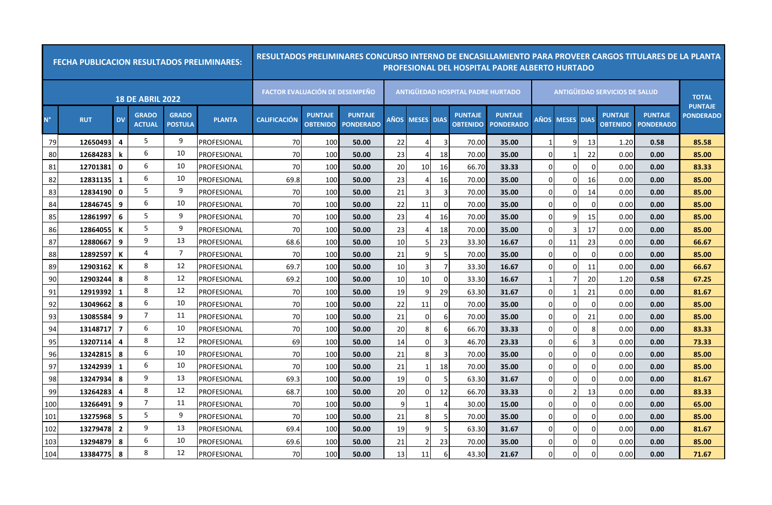|             | <b>FECHA PUBLICACION RESULTADOS PRELIMINARES:</b> |                |                               |                                |               | RESULTADOS PRELIMINARES CONCURSO INTERNO DE ENCASILLAMIENTO PARA PROVEER CARGOS TITULARES DE LA PLANTA |                                   |                                    |    |                 |                |                                          | PROFESIONAL DEL HOSPITAL PADRE ALBERTO HURTADO |             |                   |          |                                      |                                    |                                |
|-------------|---------------------------------------------------|----------------|-------------------------------|--------------------------------|---------------|--------------------------------------------------------------------------------------------------------|-----------------------------------|------------------------------------|----|-----------------|----------------|------------------------------------------|------------------------------------------------|-------------|-------------------|----------|--------------------------------------|------------------------------------|--------------------------------|
|             |                                                   |                | <b>18 DE ABRIL 2022</b>       |                                |               | <b>FACTOR EVALUACIÓN DE DESEMPEÑO</b>                                                                  |                                   |                                    |    |                 |                | <b>ANTIGUEDAD HOSPITAL PADRE HURTADO</b> |                                                |             |                   |          | <b>ANTIGUEDAD SERVICIOS DE SALUD</b> |                                    | <b>TOTAL</b><br><b>PUNTAJE</b> |
| $N^{\circ}$ | <b>RUT</b>                                        | <b>DV</b>      | <b>GRADO</b><br><b>ACTUAL</b> | <b>GRADO</b><br><b>POSTULA</b> | <b>PLANTA</b> | <b>CALIFICACIÓN</b>                                                                                    | <b>PUNTAJE</b><br><b>OBTENIDO</b> | <b>PUNTAJE</b><br><b>PONDERADO</b> |    | AÑOS MESES DIAS |                | <b>PUNTAJE</b><br><b>OBTENIDO</b>        | <b>PUNTAJE</b><br><b>PONDERADO</b>             | <b>AÑOS</b> | <b>MESES DIAS</b> |          | <b>PUNTAJE</b><br><b>OBTENIDO</b>    | <b>PUNTAJE</b><br><b>PONDERADO</b> | <b>PONDERADO</b>               |
| 79          | 12650493                                          | 4              | 5                             | 9                              | PROFESIONAL   | 70                                                                                                     | 100                               | 50.00                              | 22 | 4               | 3              | 70.00                                    | 35.00                                          |             | 9                 | 13       | 1.20                                 | 0.58                               | 85.58                          |
| 80          | 12684283                                          | k              | 6                             | 10                             | PROFESIONAL   | 70                                                                                                     | 100                               | 50.00                              | 23 | 4               | 18             | 70.00                                    | 35.00                                          | $\Omega$    |                   | 22       | 0.00                                 | 0.00                               | 85.00                          |
| 81          | 12701381                                          | 0              | 6                             | 10                             | PROFESIONAL   | 70                                                                                                     | 100                               | 50.00                              | 20 | 10 <sub>l</sub> | 16             | 66.70                                    | 33.33                                          | $\Omega$    | 0                 | $\Omega$ | 0.00                                 | 0.00                               | 83.33                          |
| 82          | 12831135                                          | 1              | 6                             | 10                             | PROFESIONAL   | 69.8                                                                                                   | 100                               | 50.00                              | 23 | 4               | 16             | 70.00                                    | 35.00                                          | $\Omega$    | $\Omega$          | 16       | 0.00                                 | 0.00                               | 85.00                          |
| 83          | 12834190                                          | $\mathbf{0}$   | 5                             | 9                              | PROFESIONAL   | 70                                                                                                     | 100                               | 50.00                              | 21 | 3               | 3              | 70.00                                    | 35.00                                          | $\Omega$    | 0                 | 14       | 0.00                                 | 0.00                               | 85.00                          |
| 84          | 12846745                                          | 9              | 6                             | 10                             | PROFESIONAL   | 70                                                                                                     | 100                               | 50.00                              | 22 | 11              | $\Omega$       | 70.00                                    | 35.00                                          | $\Omega$    | $\Omega$          |          | 0.00                                 | 0.00                               | 85.00                          |
| 85          | 12861997                                          | 6              | 5                             | 9                              | PROFESIONAL   | 70                                                                                                     | 100                               | 50.00                              | 23 | 4               | 16             | 70.00                                    | 35.00                                          | $\Omega$    | 9                 | 15       | 0.00                                 | 0.00                               | 85.00                          |
| 86          | 12864055                                          | К              | 5                             | 9                              | PROFESIONAL   | 70                                                                                                     | 100                               | 50.00                              | 23 | 4               | 18             | 70.00                                    | 35.00                                          | $\Omega$    |                   | 17       | 0.00                                 | 0.00                               | 85.00                          |
| 87          | 12880667                                          | 9              | 9                             | 13                             | PROFESIONAL   | 68.6                                                                                                   | 100                               | 50.00                              | 10 | 5               | 23             | 33.30                                    | 16.67                                          | $\cap$      | 11                | 23       | 0.00                                 | 0.00                               | 66.67                          |
| 88          | 12892597                                          | К              | 4                             | $\overline{7}$                 | PROFESIONAL   | 70                                                                                                     | 100                               | 50.00                              | 21 | 9               | 5              | 70.00                                    | 35.00                                          | $\Omega$    | 0                 |          | 0.00                                 | 0.00                               | 85.00                          |
| 89          | 12903162                                          | К              | 8                             | 12                             | PROFESIONAL   | 69.7                                                                                                   | 100                               | 50.00                              | 10 | 3               |                | 33.30                                    | 16.67                                          | $\Omega$    | $\Omega$          | 11       | 0.00                                 | 0.00                               | 66.67                          |
| 90          | 12903244                                          | 8              | 8                             | 12                             | PROFESIONAL   | 69.2                                                                                                   | 100                               | 50.00                              | 10 | 10              | $\Omega$       | 33.30                                    | 16.67                                          |             |                   | 20       | 1.20                                 | 0.58                               | 67.25                          |
| 91          | 12919392                                          | $\mathbf{1}$   | 8                             | 12                             | PROFESIONAL   | 70                                                                                                     | 100                               | 50.00                              | 19 | 9               | 29             | 63.30                                    | 31.67                                          | $\Omega$    |                   | 21       | 0.00                                 | 0.00                               | 81.67                          |
| 92          | 13049662                                          | 8              | 6                             | 10                             | PROFESIONAL   | 70                                                                                                     | 100                               | 50.00                              | 22 | 11              | 0              | 70.00                                    | 35.00                                          | $\Omega$    | 0                 | $\Omega$ | 0.00                                 | 0.00                               | 85.00                          |
| 93          | 13085584                                          | 9              | 7                             | 11                             | PROFESIONAL   | 70                                                                                                     | 100                               | 50.00                              | 21 | $\overline{0}$  | 6              | 70.00                                    | 35.00                                          | $\Omega$    | 0                 | 21       | 0.00                                 | 0.00                               | 85.00                          |
| 94          | 13148717                                          | $\overline{7}$ | 6                             | 10                             | PROFESIONAL   | 70                                                                                                     | 100                               | 50.00                              | 20 | 8               | 6              | 66.70                                    | 33.33                                          | $\Omega$    | 0                 |          | 0.00                                 | 0.00                               | 83.33                          |
| 95          | 13207114                                          | 4              | 8                             | 12                             | PROFESIONAL   | 69                                                                                                     | 100                               | 50.00                              | 14 | 0               | 3              | 46.70                                    | 23.33                                          | $\Omega$    | 61                |          | 0.00                                 | 0.00                               | 73.33                          |
| 96          | 13242815                                          | 8              | 6                             | 10                             | PROFESIONAL   | 70                                                                                                     | 100                               | 50.00                              | 21 | 8               | -3             | 70.00                                    | 35.00                                          | $\Omega$    | 0                 | O        | 0.00                                 | 0.00                               | 85.00                          |
| 97          | 13242939                                          | 1              | 6                             | 10                             | PROFESIONAL   | 70                                                                                                     | 100                               | 50.00                              | 21 | $\mathbf{1}$    | 18             | 70.00                                    | 35.00                                          | $\Omega$    | 0                 |          | 0.00                                 | 0.00                               | 85.00                          |
| 98          | 13247934                                          | 8              | 9                             | 13                             | PROFESIONAL   | 69.3                                                                                                   | 100                               | 50.00                              | 19 | $\Omega$        | 5              | 63.30                                    | 31.67                                          | $\cap$      | 0                 |          | 0.00                                 | 0.00                               | 81.67                          |
| 99          | 13264283                                          | 4              | 8                             | 12                             | PROFESIONAL   | 68.7                                                                                                   | 100                               | 50.00                              | 20 | 0               | 12             | 66.70                                    | 33.33                                          | $\Omega$    |                   | 13       | 0.00                                 | 0.00                               | 83.33                          |
| 100         | 13266491                                          | 9              | $\overline{7}$                | 11                             | PROFESIONAL   | 70                                                                                                     | 100                               | 50.00                              | 9  | $\mathbf{1}$    | $\overline{4}$ | 30.00                                    | 15.00                                          | $\Omega$    | 0                 | $\Omega$ | 0.00                                 | 0.00                               | 65.00                          |
| 101         | 13275968                                          | -5             | 5                             | 9                              | PROFESIONAL   | 70                                                                                                     | 100                               | 50.00                              | 21 | 8               | 5              | 70.00                                    | 35.00                                          | $\Omega$    | $\Omega$          |          | 0.00                                 | 0.00                               | 85.00                          |
| 102         | 13279478                                          | $\overline{2}$ | 9                             | 13                             | PROFESIONAL   | 69.4                                                                                                   | 100                               | 50.00                              | 19 | 9               | .5             | 63.30                                    | 31.67                                          | $\Omega$    | 0                 |          | 0.00                                 | 0.00                               | 81.67                          |
| 103         | 13294879                                          | 8              | 6                             | 10                             | PROFESIONAL   | 69.6                                                                                                   | 100                               | 50.00                              | 21 |                 | 23             | 70.00                                    | 35.00                                          | n           | 0                 |          | 0.00                                 | 0.00                               | 85.00                          |
| 104         | 13384775                                          | -8             | 8                             | 12                             | PROFESIONAL   | 70                                                                                                     | 100                               | 50.00                              | 13 | 11              | 6              | 43.30                                    | 21.67                                          | $\Omega$    |                   |          | 0.00                                 | 0.00                               | 71.67                          |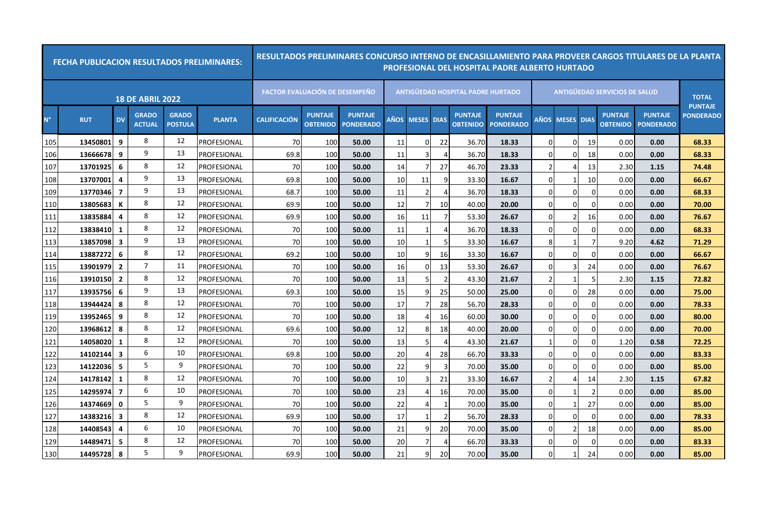|             | <b>FECHA PUBLICACION RESULTADOS PRELIMINARES:</b> |                         |                               |                                |               | RESULTADOS PRELIMINARES CONCURSO INTERNO DE ENCASILLAMIENTO PARA PROVEER CARGOS TITULARES DE LA PLANTA |                                   |                                    |      |                   |                |                                          | PROFESIONAL DEL HOSPITAL PADRE ALBERTO HURTADO |                |                   |          |                                      |                                    |                                |
|-------------|---------------------------------------------------|-------------------------|-------------------------------|--------------------------------|---------------|--------------------------------------------------------------------------------------------------------|-----------------------------------|------------------------------------|------|-------------------|----------------|------------------------------------------|------------------------------------------------|----------------|-------------------|----------|--------------------------------------|------------------------------------|--------------------------------|
|             |                                                   |                         | <b>18 DE ABRIL 2022</b>       |                                |               | <b>FACTOR EVALUACIÓN DE DESEMPEÑO</b>                                                                  |                                   |                                    |      |                   |                | <b>ANTIGUEDAD HOSPITAL PADRE HURTADO</b> |                                                |                |                   |          | <b>ANTIGUEDAD SERVICIOS DE SALUD</b> |                                    | <b>TOTAL</b><br><b>PUNTAJE</b> |
| $N^{\circ}$ | <b>RUT</b>                                        | <b>DV</b>               | <b>GRADO</b><br><b>ACTUAL</b> | <b>GRADO</b><br><b>POSTULA</b> | <b>PLANTA</b> | <b>CALIFICACIÓN</b>                                                                                    | <b>PUNTAJE</b><br><b>OBTENIDO</b> | <b>PUNTAJE</b><br><b>PONDERADO</b> | AÑOS | <b>MESES DIAS</b> |                | <b>PUNTAJE</b><br><b>OBTENIDO</b>        | <b>PUNTAJE</b><br><b>PONDERADO</b>             | AÑOS           | <b>MESES DIAS</b> |          | <b>PUNTAJE</b><br><b>OBTENIDO</b>    | <b>PUNTAJE</b><br><b>PONDERADO</b> | <b>PONDERADO</b>               |
| 105         | 13450801                                          | 9                       | 8                             | 12                             | PROFESIONAL   | 70                                                                                                     | 100                               | 50.00                              | 11   | $\Omega$          | 22             | 36.70                                    | 18.33                                          | $\Omega$       | $\overline{0}$    | 19       | 0.00                                 | 0.00                               | 68.33                          |
| 106         | 13666678                                          | 9                       | 9                             | 13                             | PROFESIONAL   | 69.8                                                                                                   | 100                               | 50.00                              | 11   | 3                 | $\overline{4}$ | 36.70                                    | 18.33                                          | $\Omega$       | 0                 | 18       | 0.00                                 | 0.00                               | 68.33                          |
| 107         | 13701925                                          | -6                      | 8                             | 12                             | PROFESIONAL   | 70                                                                                                     | 100                               | 50.00                              | 14   | 7                 | 27             | 46.70                                    | 23.33                                          | 2              | 4                 | 13       | 2.30                                 | 1.15                               | 74.48                          |
| 108         | 13707001                                          | 4                       | 9                             | 13                             | PROFESIONAL   | 69.8                                                                                                   | 100                               | 50.00                              | 10   | 11                | 9              | 33.30                                    | 16.67                                          | $\Omega$       |                   | 10       | 0.00                                 | 0.00                               | 66.67                          |
| 109         | 13770346                                          | 7                       | 9                             | 13                             | PROFESIONAL   | 68.7                                                                                                   | 100                               | 50.00                              | 11   | 2                 | 4              | 36.70                                    | 18.33                                          | $\Omega$       | 0                 |          | 0.00                                 | 0.00                               | 68.33                          |
| 110         | 13805683                                          | К                       | 8                             | 12                             | PROFESIONAL   | 69.9                                                                                                   | 100                               | 50.00                              | 12   | 7                 | 10             | 40.00                                    | 20.00                                          | $\Omega$       | $\Omega$          |          | 0.00                                 | 0.00                               | 70.00                          |
| 111         | 13835884                                          | 4                       | 8                             | 12                             | PROFESIONAL   | 69.9                                                                                                   | 100                               | 50.00                              | 16   | 11                | 7              | 53.30                                    | 26.67                                          | $\Omega$       | 2                 | 16       | 0.00                                 | 0.00                               | 76.67                          |
| 112         | 13838410                                          | $\mathbf{1}$            | 8                             | 12                             | PROFESIONAL   | 70                                                                                                     | 100                               | 50.00                              | 11   | $\mathbf{1}$      | $\overline{4}$ | 36.70                                    | 18.33                                          | $\Omega$       | $\Omega$          | U        | 0.00                                 | 0.00                               | 68.33                          |
| 113         | 13857098                                          | 3                       | 9                             | 13                             | PROFESIONAL   | 70                                                                                                     | 100                               | 50.00                              | 10   | $\mathbf 1$       | 5              | 33.30                                    | 16.67                                          | 8              |                   |          | 9.20                                 | 4.62                               | 71.29                          |
| 114         | 13887272                                          | 6                       | 8                             | 12                             | PROFESIONAL   | 69.2                                                                                                   | 100                               | 50.00                              | 10   | 9                 | 16             | 33.30                                    | 16.67                                          | $\Omega$       | 0                 |          | 0.00                                 | 0.00                               | 66.67                          |
| 115         | 13901979                                          | $\overline{2}$          | $\overline{7}$                | 11                             | PROFESIONAL   | 70                                                                                                     | 100                               | 50.00                              | 16   | $\Omega$          | 13             | 53.30                                    | 26.67                                          | $\Omega$       |                   | 24       | 0.00                                 | 0.00                               | 76.67                          |
| 116         | 13910150                                          | $\overline{2}$          | 8                             | 12                             | PROFESIONAL   | 70                                                                                                     | 100                               | 50.00                              | 13   | 5                 | $\overline{2}$ | 43.30                                    | 21.67                                          | $\overline{2}$ |                   |          | 2.30                                 | 1.15                               | 72.82                          |
| 117         | 13935756                                          | 6                       | 9                             | 13                             | PROFESIONAL   | 69.3                                                                                                   | 100                               | 50.00                              | 15   | 9                 | 25             | 50.00                                    | 25.00                                          | $\Omega$       | $\Omega$          | 28       | 0.00                                 | 0.00                               | 75.00                          |
| 118         | 13944424                                          | 8                       | 8                             | 12                             | PROFESIONAL   | 70                                                                                                     | 100                               | 50.00                              | 17   | 7                 | 28             | 56.70                                    | 28.33                                          | $\Omega$       | 0                 | O        | 0.00                                 | 0.00                               | 78.33                          |
| 119         | 13952465                                          | 9                       | 8                             | 12                             | PROFESIONAL   | 70                                                                                                     | 100                               | 50.00                              | 18   | 4                 | 16             | 60.00                                    | 30.00                                          | $\Omega$       | $\Omega$          |          | 0.00                                 | 0.00                               | 80.00                          |
| 120         | 13968612                                          | 8                       | 8                             | 12                             | PROFESIONAL   | 69.6                                                                                                   | 100                               | 50.00                              | 12   | 8                 | 18             | 40.00                                    | 20.00                                          | $\Omega$       | $\Omega$          |          | 0.00                                 | 0.00                               | 70.00                          |
| 121         | 14058020                                          | 1                       | 8                             | 12                             | PROFESIONAL   | 70                                                                                                     | 100                               | 50.00                              | 13   | 5                 | 4              | 43.30                                    | 21.67                                          |                | $\overline{0}$    |          | 1.20                                 | 0.58                               | 72.25                          |
| 122         | 14102144                                          | 3                       | 6                             | 10                             | PROFESIONAL   | 69.8                                                                                                   | 100                               | 50.00                              | 20   | 4                 | 28             | 66.70                                    | 33.33                                          | $\Omega$       | 0                 |          | 0.00                                 | 0.00                               | 83.33                          |
| 123         | 14122036                                          | -5                      | 5                             | 9                              | PROFESIONAL   | 70                                                                                                     | 100                               | 50.00                              | 22   | 9                 | $\overline{3}$ | 70.00                                    | 35.00                                          | $\Omega$       | $\overline{0}$    |          | 0.00                                 | 0.00                               | 85.00                          |
| 124         | 14178142                                          | 1                       | 8                             | 12                             | PROFESIONAL   | 70                                                                                                     | 100                               | 50.00                              | 10   | 3                 | 21             | 33.30                                    | 16.67                                          | 2              |                   | 14       | 2.30                                 | 1.15                               | 67.82                          |
| 125         | 14295974                                          | $\overline{7}$          | 6                             | 10                             | PROFESIONAL   | 70                                                                                                     | 100                               | 50.00                              | 23   | 4                 | 16             | 70.00                                    | 35.00                                          | $\Omega$       |                   |          | 0.00                                 | 0.00                               | 85.00                          |
| 126         | 14374669                                          | 0                       | 5                             | 9                              | PROFESIONAL   | 70                                                                                                     | 100                               | 50.00                              | 22   | $\overline{4}$    | 1              | 70.00                                    | 35.00                                          | $\Omega$       |                   | 27       | 0.00                                 | 0.00                               | 85.00                          |
| 127         | 14383216                                          | $\overline{\mathbf{3}}$ | 8                             | 12                             | PROFESIONAL   | 69.9                                                                                                   | 100                               | 50.00                              | 17   | $\mathbf{1}$      | $\overline{2}$ | 56.70                                    | 28.33                                          | $\Omega$       | $\Omega$          | $\Omega$ | 0.00                                 | 0.00                               | 78.33                          |
| 128         | 14408543                                          | 4                       | 6                             | 10                             | PROFESIONAL   | 70                                                                                                     | 100                               | 50.00                              | 21   | ٩                 | 20             | 70.00                                    | 35.00                                          | $\Omega$       |                   | 18       | 0.00                                 | 0.00                               | 85.00                          |
| 129         | 14489471                                          | 5                       | 8                             | 12                             | PROFESIONAL   | 70                                                                                                     | 100                               | 50.00                              | 20   | 7                 | 4              | 66.70                                    | 33.33                                          | $\Omega$       | 0                 |          | 0.00                                 | 0.00                               | 83.33                          |
| 130         | 14495728                                          | 8                       | 5                             | 9                              | PROFESIONAL   | 69.9                                                                                                   | 100                               | 50.00                              | 21   | 9                 | 20             | 70.00                                    | 35.00                                          | $\Omega$       |                   | 24       | 0.00                                 | 0.00                               | 85.00                          |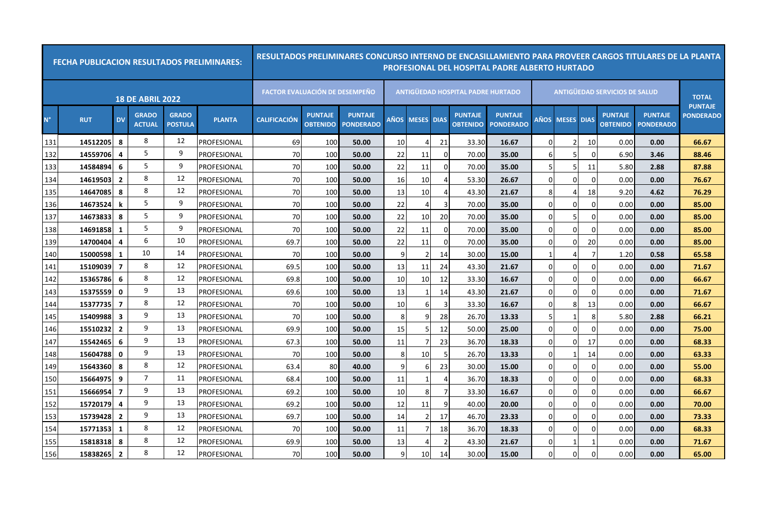|             | <b>FECHA PUBLICACION RESULTADOS PRELIMINARES:</b> |                         |                               |                                |               | RESULTADOS PRELIMINARES CONCURSO INTERNO DE ENCASILLAMIENTO PARA PROVEER CARGOS TITULARES DE LA PLANTA |                                   |                                    |      |                   |                |                                          | PROFESIONAL DEL HOSPITAL PADRE ALBERTO HURTADO |          |                   |          |                                      |                                    |                                |
|-------------|---------------------------------------------------|-------------------------|-------------------------------|--------------------------------|---------------|--------------------------------------------------------------------------------------------------------|-----------------------------------|------------------------------------|------|-------------------|----------------|------------------------------------------|------------------------------------------------|----------|-------------------|----------|--------------------------------------|------------------------------------|--------------------------------|
|             |                                                   |                         | <b>18 DE ABRIL 2022</b>       |                                |               | <b>FACTOR EVALUACIÓN DE DESEMPEÑO</b>                                                                  |                                   |                                    |      |                   |                | <b>ANTIGUEDAD HOSPITAL PADRE HURTADO</b> |                                                |          |                   |          | <b>ANTIGUEDAD SERVICIOS DE SALUD</b> |                                    | <b>TOTAL</b><br><b>PUNTAJE</b> |
| $N^{\circ}$ | <b>RUT</b>                                        | <b>DV</b>               | <b>GRADO</b><br><b>ACTUAL</b> | <b>GRADO</b><br><b>POSTULA</b> | <b>PLANTA</b> | <b>CALIFICACIÓN</b>                                                                                    | <b>PUNTAJE</b><br><b>OBTENIDO</b> | <b>PUNTAJE</b><br><b>PONDERADO</b> | AÑOS | <b>MESES DIAS</b> |                | <b>PUNTAJE</b><br><b>OBTENIDO</b>        | <b>PUNTAJE</b><br><b>PONDERADO</b>             | AÑOS     | <b>MESES DIAS</b> |          | <b>PUNTAJE</b><br><b>OBTENIDO</b>    | <b>PUNTAJE</b><br><b>PONDERADO</b> | <b>PONDERADO</b>               |
| 131         | 14512205                                          | 8                       | 8                             | 12                             | PROFESIONAL   | 69                                                                                                     | 100                               | 50.00                              | 10   | 4                 | 21             | 33.30                                    | 16.67                                          | $\Omega$ |                   | 10       | 0.00                                 | 0.00                               | 66.67                          |
| 132         | 14559706                                          | $\overline{a}$          | 5                             | 9                              | PROFESIONAL   | 70                                                                                                     | 100                               | 50.00                              | 22   | 11                | 0              | 70.00                                    | 35.00                                          | 6        |                   |          | 6.90                                 | 3.46                               | 88.46                          |
| 133         | 14584894                                          | -6                      | 5                             | 9                              | PROFESIONAL   | 70                                                                                                     | 100                               | 50.00                              | 22   | 11                | $\Omega$       | 70.00                                    | 35.00                                          | 5        | 5 <sub>l</sub>    | 11       | 5.80                                 | 2.88                               | 87.88                          |
| 134         | 14619503                                          | $\overline{2}$          | 8                             | 12                             | PROFESIONAL   | 70                                                                                                     | 100                               | 50.00                              | 16   | 10                |                | 53.30                                    | 26.67                                          | $\Omega$ | $\Omega$          |          | 0.00                                 | 0.00                               | 76.67                          |
| 135         | 14647085                                          | -8                      | 8                             | 12                             | PROFESIONAL   | 70                                                                                                     | 100                               | 50.00                              | 13   | 10                | 4              | 43.30                                    | 21.67                                          | 8        |                   | 18       | 9.20                                 | 4.62                               | 76.29                          |
| 136         | 14673524                                          | k                       | 5                             | 9                              | PROFESIONAL   | 70                                                                                                     | 100                               | 50.00                              | 22   | $\overline{a}$    | 3              | 70.00                                    | 35.00                                          | $\Omega$ | 0                 |          | 0.00                                 | 0.00                               | 85.00                          |
| 137         | 14673833                                          | -8                      | 5                             | 9                              | PROFESIONAL   | 70                                                                                                     | 100                               | 50.00                              | 22   | 10                | 20             | 70.00                                    | 35.00                                          | $\Omega$ | 5                 |          | 0.00                                 | 0.00                               | 85.00                          |
| 138         | 14691858                                          | $\mathbf{1}$            | 5                             | 9                              | PROFESIONAL   | 70                                                                                                     | 100                               | 50.00                              | 22   | 11                | 0              | 70.00                                    | 35.00                                          | $\Omega$ | $\Omega$          | $\Omega$ | 0.00                                 | 0.00                               | 85.00                          |
| 139         | 14700404                                          | 4                       | 6                             | 10                             | PROFESIONAL   | 69.7                                                                                                   | 100                               | 50.00                              | 22   | 11                | $\mathbf 0$    | 70.00                                    | 35.00                                          | $\Omega$ | 0                 | 20       | 0.00                                 | 0.00                               | 85.00                          |
| 140         | 15000598                                          | 1                       | 10                            | 14                             | PROFESIONAL   | 70                                                                                                     | 100                               | 50.00                              | 9    | $\overline{2}$    | 14             | 30.00                                    | 15.00                                          |          |                   |          | 1.20                                 | 0.58                               | 65.58                          |
| 141         | 15109039                                          | $\overline{7}$          | 8                             | 12                             | PROFESIONAL   | 69.5                                                                                                   | 100                               | 50.00                              | 13   | 11                | 24             | 43.30                                    | 21.67                                          | $\Omega$ | $\Omega$          |          | 0.00                                 | 0.00                               | 71.67                          |
| 142         | 15365786                                          | 6                       | 8                             | 12                             | PROFESIONAL   | 69.8                                                                                                   | 100                               | 50.00                              | 10   | 10                | 12             | 33.30                                    | 16.67                                          | $\Omega$ | $\Omega$          |          | 0.00                                 | 0.00                               | 66.67                          |
| 143         | 15375559                                          | 0                       | 9                             | 13                             | PROFESIONAL   | 69.6                                                                                                   | 100                               | 50.00                              | 13   | $\mathbf 1$       | 14             | 43.30                                    | 21.67                                          | $\Omega$ | $\Omega$          |          | 0.00                                 | 0.00                               | 71.67                          |
| 144         | 15377735                                          | $\overline{7}$          | 8                             | 12                             | PROFESIONAL   | 70                                                                                                     | 100                               | 50.00                              | 10   | 6                 | $\overline{3}$ | 33.30                                    | 16.67                                          | $\Omega$ | 8                 | 13       | 0.00                                 | 0.00                               | 66.67                          |
| 145         | 15409988                                          | $\overline{\mathbf{3}}$ | 9                             | 13                             | PROFESIONAL   | 70                                                                                                     | 100                               | 50.00                              | 8    | 9                 | 28             | 26.70                                    | 13.33                                          | 5        |                   |          | 5.80                                 | 2.88                               | 66.21                          |
| 146         | 15510232                                          | $\overline{2}$          | 9                             | 13                             | PROFESIONAL   | 69.9                                                                                                   | 100                               | 50.00                              | 15   | 5                 | 12             | 50.00                                    | 25.00                                          | $\Omega$ | $\Omega$          |          | 0.00                                 | 0.00                               | 75.00                          |
| 147         | 15542465                                          | 6                       | 9                             | 13                             | PROFESIONAL   | 67.3                                                                                                   | 100                               | 50.00                              | 11   |                   | 23             | 36.70                                    | 18.33                                          | $\Omega$ | $\Omega$          | 17       | 0.00                                 | 0.00                               | 68.33                          |
| 148         | 15604788                                          | 0                       | 9                             | 13                             | PROFESIONAL   | 70                                                                                                     | 100                               | 50.00                              | 8    | 10                | -5             | 26.70                                    | 13.33                                          | $\Omega$ | -1                | 14       | 0.00                                 | 0.00                               | 63.33                          |
| 149         | 15643360                                          | -8                      | 8                             | 12                             | PROFESIONAL   | 63.4                                                                                                   | 80                                | 40.00                              | 9    | 6                 | 23             | 30.00                                    | 15.00                                          | $\Omega$ | $\overline{0}$    |          | 0.00                                 | 0.00                               | 55.00                          |
| 150         | 15664975                                          | 9                       | 7                             | 11                             | PROFESIONAL   | 68.4                                                                                                   | 100                               | 50.00                              | 11   | $\mathbf 1$       | 4              | 36.70                                    | 18.33                                          | $\Omega$ | 0                 |          | 0.00                                 | 0.00                               | 68.33                          |
| 151         | 15666954                                          | $\overline{7}$          | 9                             | 13                             | PROFESIONAL   | 69.2                                                                                                   | 100                               | 50.00                              | 10   | 8                 | 7              | 33.30                                    | 16.67                                          | $\Omega$ | $\overline{0}$    |          | 0.00                                 | 0.00                               | 66.67                          |
| 152         | 15720179                                          | 4                       | 9                             | 13                             | PROFESIONAL   | 69.2                                                                                                   | 100                               | 50.00                              | 12   | 11                | 9              | 40.00                                    | 20.00                                          | $\Omega$ | 0                 | 0        | 0.00                                 | 0.00                               | 70.00                          |
| 153         | 15739428                                          | $\overline{2}$          | 9                             | 13                             | PROFESIONAL   | 69.7                                                                                                   | 100                               | 50.00                              | 14   | $\overline{2}$    | 17             | 46.70                                    | 23.33                                          | $\Omega$ | $\overline{0}$    | $\Omega$ | 0.00                                 | 0.00                               | 73.33                          |
| 154         | 15771353                                          | 1                       | 8                             | 12                             | PROFESIONAL   | 70                                                                                                     | 100                               | 50.00                              | 11   | 7                 | 18             | 36.70                                    | 18.33                                          | $\Omega$ | 0                 |          | 0.00                                 | 0.00                               | 68.33                          |
| 155         | 15818318                                          | 8                       | 8                             | 12                             | PROFESIONAL   | 69.9                                                                                                   | 100                               | 50.00                              | 13   | 4                 | 2              | 43.30                                    | 21.67                                          | $\Omega$ |                   |          | 0.00                                 | 0.00                               | 71.67                          |
| 156         | 15838265                                          | $\overline{2}$          | 8                             | 12                             | PROFESIONAL   | 70                                                                                                     | 100                               | 50.00                              | 9    | 10                | 14             | 30.00                                    | 15.00                                          | $\Omega$ | $\Omega$          |          | 0.00                                 | 0.00                               | 65.00                          |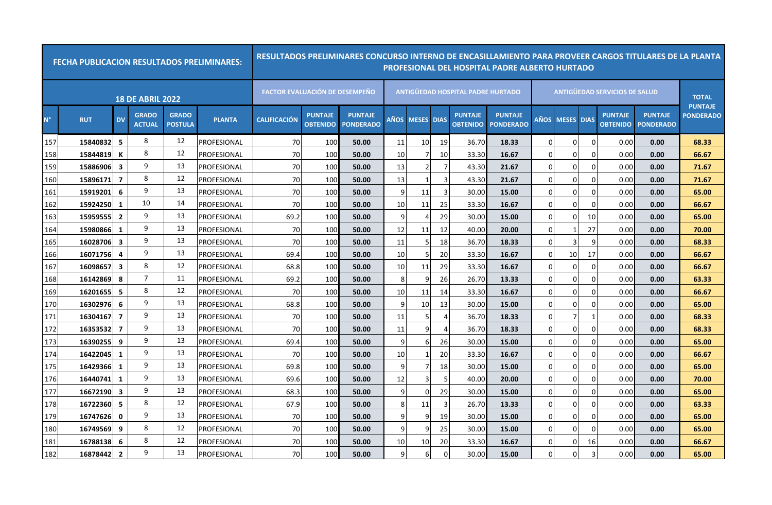|             | <b>FECHA PUBLICACION RESULTADOS PRELIMINARES:</b> |                |                               |                                |                    | RESULTADOS PRELIMINARES CONCURSO INTERNO DE ENCASILLAMIENTO PARA PROVEER CARGOS TITULARES DE LA PLANTA |                                   |                                    |      |                   |                |                                          | <b>PROFESIONAL DEL HOSPITAL PADRE ALBERTO HURTADO</b> |             |                   |          |                                      |                                    |                                |
|-------------|---------------------------------------------------|----------------|-------------------------------|--------------------------------|--------------------|--------------------------------------------------------------------------------------------------------|-----------------------------------|------------------------------------|------|-------------------|----------------|------------------------------------------|-------------------------------------------------------|-------------|-------------------|----------|--------------------------------------|------------------------------------|--------------------------------|
|             |                                                   |                | <b>18 DE ABRIL 2022</b>       |                                |                    | <b>FACTOR EVALUACIÓN DE DESEMPEÑO</b>                                                                  |                                   |                                    |      |                   |                | <b>ANTIGUEDAD HOSPITAL PADRE HURTADO</b> |                                                       |             |                   |          | <b>ANTIGUEDAD SERVICIOS DE SALUD</b> |                                    | <b>TOTAL</b><br><b>PUNTAJE</b> |
| $N^{\circ}$ | <b>RUT</b>                                        | <b>DV</b>      | <b>GRADO</b><br><b>ACTUAL</b> | <b>GRADO</b><br><b>POSTULA</b> | <b>PLANTA</b>      | <b>CALIFICACION</b>                                                                                    | <b>PUNTAJE</b><br><b>OBTENIDO</b> | <b>PUNTAJE</b><br><b>PONDERADO</b> | AÑOS | <b>MESES DIAS</b> |                | <b>PUNTAJE</b><br><b>OBTENIDO</b>        | <b>PUNTAJE</b><br><b>PONDERADO</b>                    | AÑOS        | <b>MESES DIAS</b> |          | <b>PUNTAJE</b><br><b>OBTENIDO</b>    | <b>PUNTAJE</b><br><b>PONDERADO</b> | <b>PONDERADO</b>               |
| 157         | 15840832                                          | 5              | 8                             | 12                             | <b>PROFESIONAL</b> | 70                                                                                                     | 100                               | 50.00                              | 11   | 10                | 19             | 36.70                                    | 18.33                                                 | 0           | $\overline{0}$    |          | 0.00                                 | 0.00                               | 68.33                          |
| 158         | 15844819                                          | К              | 8                             | 12                             | PROFESIONAL        | 70                                                                                                     | 100                               | 50.00                              | 10   | 7                 | 10             | 33.30                                    | 16.67                                                 | $\Omega$    | $\overline{0}$    | $\Omega$ | 0.00                                 | 0.00                               | 66.67                          |
| 159         | 15886906                                          | 3              | 9                             | 13                             | PROFESIONAL        | 70                                                                                                     | 100                               | 50.00                              | 13   | 2                 | $\overline{7}$ | 43.30                                    | 21.67                                                 | $\Omega$    | $\overline{0}$    |          | 0.00                                 | 0.00                               | 71.67                          |
| 160         | 15896171                                          | $\overline{7}$ | 8                             | 12                             | PROFESIONAL        | 70                                                                                                     | 100                               | 50.00                              | 13   | $\mathbf{1}$      | $\overline{3}$ | 43.30                                    | 21.67                                                 | $\Omega$    | $\overline{0}$    | 0        | 0.00                                 | 0.00                               | 71.67                          |
| 161         | 15919201                                          | 6              | 9                             | 13                             | PROFESIONAL        | 70                                                                                                     | 100                               | 50.00                              | q    | 11                | -3             | 30.00                                    | 15.00                                                 | $\Omega$    | 0                 |          | 0.00                                 | 0.00                               | 65.00                          |
| 162         | 15924250                                          | 1              | 10                            | 14                             | PROFESIONAL        | 70                                                                                                     | 100                               | 50.00                              | 10   | 11                | 25             | 33.30                                    | 16.67                                                 | $\Omega$    | 0                 | O        | 0.00                                 | 0.00                               | 66.67                          |
| 163         | 15959555                                          | $\overline{2}$ | 9                             | 13                             | PROFESIONAL        | 69.2                                                                                                   | 100                               | 50.00                              | 9    | 4                 | 29             | 30.00                                    | 15.00                                                 | $\Omega$    | $\Omega$          | 10       | 0.00                                 | 0.00                               | 65.00                          |
| 164         | 15980866                                          | 1              | 9                             | 13                             | PROFESIONAL        | 70                                                                                                     | 100                               | 50.00                              | 12   | 11                | 12             | 40.00                                    | 20.00                                                 | $\Omega$    |                   | 27       | 0.00                                 | 0.00                               | 70.00                          |
| 165         | 16028706                                          | 3              | 9                             | 13                             | PROFESIONAL        | 70                                                                                                     | 100                               | 50.00                              | 11   | 5                 | 18             | 36.70                                    | 18.33                                                 | $\Omega$    |                   |          | 0.00                                 | 0.00                               | 68.33                          |
| 166         | 16071756                                          | 4              | 9                             | 13                             | PROFESIONAL        | 69.4                                                                                                   | 100                               | 50.00                              | 10   |                   | 20             | 33.30                                    | 16.67                                                 | $\Omega$    | 10 <sup>1</sup>   | 17       | 0.00                                 | 0.00                               | 66.67                          |
| 167         | 16098657                                          | 3              | 8                             | 12                             | PROFESIONAL        | 68.8                                                                                                   | 100                               | 50.00                              | 10   | 11                | 29             | 33.30                                    | 16.67                                                 | $\Omega$    | $\Omega$          |          | 0.00                                 | 0.00                               | 66.67                          |
| 168         | 16142869                                          | 8              | $\overline{7}$                | 11                             | PROFESIONAL        | 69.2                                                                                                   | 100                               | 50.00                              | 8    | 9                 | 26             | 26.70                                    | 13.33                                                 | $\Omega$    | $\Omega$          |          | 0.00                                 | 0.00                               | 63.33                          |
| 169         | 16201655                                          | 5              | 8                             | 12                             | PROFESIONAL        | 70                                                                                                     | 100                               | 50.00                              | 10   | 11                | 14             | 33.30                                    | 16.67                                                 | $\Omega$    | $\overline{0}$    |          | 0.00                                 | 0.00                               | 66.67                          |
| 170         | 16302976                                          | 6              | 9                             | 13                             | PROFESIONAL        | 68.8                                                                                                   | 100                               | 50.00                              | 9    | 10                | 13             | 30.00                                    | 15.00                                                 | $\mathbf 0$ | $\overline{0}$    |          | 0.00                                 | 0.00                               | 65.00                          |
| 171         | 16304167                                          | $\overline{7}$ | 9                             | 13                             | PROFESIONAL        | 70                                                                                                     | 100                               | 50.00                              | 11   | 5                 | $\overline{4}$ | 36.70                                    | 18.33                                                 | $\Omega$    | $\overline{7}$    |          | 0.00                                 | 0.00                               | 68.33                          |
| 172         | 16353532                                          | $\overline{7}$ | 9                             | 13                             | PROFESIONAL        | 70                                                                                                     | 100                               | 50.00                              | 11   | 9                 | $\overline{4}$ | 36.70                                    | 18.33                                                 | $\Omega$    | $\Omega$          |          | 0.00                                 | 0.00                               | 68.33                          |
| 173         | 16390255                                          | 9              | 9                             | 13                             | <b>PROFESIONAL</b> | 69.4                                                                                                   | 100                               | 50.00                              | 9    | 6                 | 26             | 30.00                                    | 15.00                                                 | $\Omega$    | $\overline{0}$    |          | 0.00                                 | 0.00                               | 65.00                          |
| 174         | 16422045                                          | 1              | 9                             | 13                             | PROFESIONAL        | 70                                                                                                     | 100                               | 50.00                              | 10   | -1                | 20             | 33.30                                    | 16.67                                                 | 0           | $\overline{0}$    |          | 0.00                                 | 0.00                               | 66.67                          |
| 175         | 16429366                                          | -1             | 9                             | 13                             | PROFESIONAL        | 69.8                                                                                                   | 100                               | 50.00                              | 9    | 7                 | 18             | 30.00                                    | 15.00                                                 | 0           | $\overline{0}$    |          | 0.00                                 | 0.00                               | 65.00                          |
| 176         | 16440741                                          | 1              | 9                             | 13                             | PROFESIONAL        | 69.6                                                                                                   | 100                               | 50.00                              | 12   | 3                 | 5              | 40.00                                    | 20.00                                                 | $\Omega$    | $\overline{0}$    |          | 0.00                                 | 0.00                               | 70.00                          |
| 177         | 16672190                                          | 3              | 9                             | 13                             | PROFESIONAL        | 68.3                                                                                                   | 100                               | 50.00                              | 9    | $\Omega$          | 29             | 30.00                                    | 15.00                                                 | 0           | $\overline{0}$    |          | 0.00                                 | 0.00                               | 65.00                          |
| 178         | 16722360                                          | 5              | 8                             | 12                             | PROFESIONAL        | 67.9                                                                                                   | 100                               | 50.00                              | 8    | 11                | 3              | 26.70                                    | 13.33                                                 | $\Omega$    | $\overline{0}$    | 0        | 0.00                                 | 0.00                               | 63.33                          |
| 179         | 16747626                                          | 0              | 9                             | 13                             | <b>PROFESIONAL</b> | 70                                                                                                     | 100                               | 50.00                              | 9    | 9                 | 19             | 30.00                                    | 15.00                                                 | $\Omega$    | $\overline{0}$    | $\Omega$ | 0.00                                 | 0.00                               | 65.00                          |
| 180         | 16749569                                          | 9              | 8                             | 12                             | PROFESIONAL        | 70                                                                                                     | 100                               | 50.00                              | 9    | q                 | 25             | 30.00                                    | 15.00                                                 | $\Omega$    | $\Omega$          |          | 0.00                                 | 0.00                               | 65.00                          |
| 181         | 16788138                                          | 6              | 8                             | 12                             | PROFESIONAL        | 70                                                                                                     | 100                               | 50.00                              | 10   | 10                | 20             | 33.30                                    | 16.67                                                 | $\Omega$    | 0                 | 16       | 0.00                                 | 0.00                               | 66.67                          |
| 182         | 16878442                                          | $\overline{2}$ | 9                             | 13                             | PROFESIONAL        | 70                                                                                                     | 100                               | 50.00                              | 9    | 6                 | $\Omega$       | 30.00                                    | 15.00                                                 | $\Omega$    | 0                 |          | 0.00                                 | 0.00                               | 65.00                          |